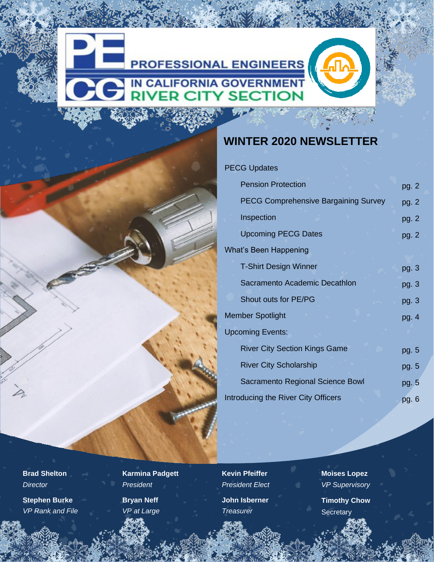

#### **WINTER 2020 NEWSLETTER**

#### PECG Updates

| <b>Pension Protection</b>                   | pg. 2   |
|---------------------------------------------|---------|
| <b>PECG Comprehensive Bargaining Survey</b> | pg. 2   |
| Inspection                                  | pg. $2$ |
| <b>Upcoming PECG Dates</b>                  | pg. $2$ |
| What's Been Happening                       |         |
| <b>T-Shirt Design Winner</b>                | pg. 3   |
| Sacramento Academic Decathlon               | pg. $3$ |
| Shout outs for PE/PG                        | pg. 3   |
| <b>Member Spotlight</b>                     |         |
| <b>Upcoming Events:</b>                     |         |
| <b>River City Section Kings Game</b>        | pg. 5   |
| <b>River City Scholarship</b>               | pg. 5   |
| Sacramento Regional Science Bowl            | pg. 5   |
| Introducing the River City Officers         | pg. 6   |

**Brad Shelton** *Director*

**Stephen Burke** *VP Rank and File*  **Karmina Padgett** *President* **Bryan Neff** *VP at Large*

**Kevin Pfeiffer** *President Elect*

**John Isberner** *Treasurer*

**Moises Lopez** *VP Supervisory*

**Timothy Chow Secretary**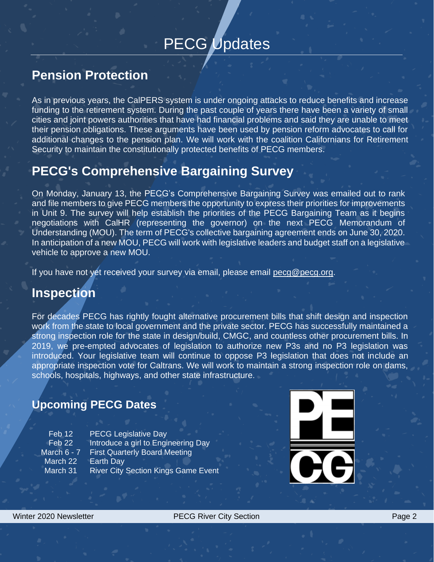# PECG Updates

### **Pension Protection**

As in previous years, the CalPERS system is under ongoing attacks to reduce benefits and increase funding to the retirement system. During the past couple of years there have been a variety of small cities and joint powers authorities that have had financial problems and said they are unable to meet their pension obligations. These arguments have been used by pension reform advocates to call for additional changes to the pension plan. We will work with the coalition Californians for Retirement Security to maintain the constitutionally protected benefits of PECG members.

### **PECG's Comprehensive Bargaining Survey**

On Monday, January 13, the PECG's Comprehensive Bargaining Survey was emailed out to rank and file members to give PECG members the opportunity to express their priorities for improvements in Unit 9. The survey will help establish the priorities of the PECG Bargaining Team as it begins negotiations with CalHR (representing the governor) on the next PECG Memorandum of Understanding (MOU). The term of PECG's collective bargaining agreement ends on June 30, 2020. In anticipation of a new MOU, PECG will work with legislative leaders and budget staff on a legislative vehicle to approve a new MOU.

If you have not yet received your survey via email, please email [pecg@pecg.org.](mailto:pecg@pecg.org)

### **Inspection**

For decades PECG has rightly fought alternative procurement bills that shift design and inspection work from the state to local government and the private sector. PECG has successfully maintained a strong inspection role for the state in design/build, CMGC, and countless other procurement bills. In 2019, we pre-empted advocates of legislation to authorize new P3s and no P3 legislation was introduced. Your legislative team will continue to oppose P3 legislation that does not include an appropriate inspection vote for Caltrans. We will work to maintain a strong inspection role on dams, schools, hospitals, highways, and other state infrastructure.

#### **Upcoming PECG Dates**

| $Feb$ 12    | <b>PECG Legislative Day</b>                |
|-------------|--------------------------------------------|
| $Feb$ 22    | Introduce a girl to Engineering Day        |
| March 6 - 7 | <b>First Quarterly Board Meeting</b>       |
| March 22    | <b>Earth Day</b>                           |
| March 31    | <b>River City Section Kings Game Event</b> |

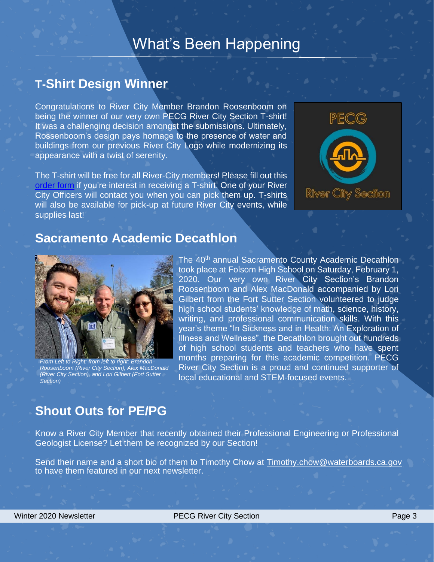### What's Been Happening

#### **T-Shirt Design Winner**

Congratulations to River City Member Brandon Roosenboom on being the winner of our very own PECG River City Section T-shirt! It was a challenging decision amongst the submissions. Ultimately, Rossenboom's design pays homage to the presence of water and buildings from our previous River City Logo while modernizing its appearance with a twist of serenity.

The T-shirt will be free for all River-City members! Please fill out this [order form](https://forms.gle/c8AEcQ9BBPGWzkk77) if you're interest in receiving a T-shirt. One of your River City Officers will contact you when you can pick them up. T-shirts will also be available for pick-up at future River City events, while supplies last!



#### **Sacramento Academic Decathlon**



*From Left to Right: from left to right: Brandon Roosenboom (River City Section), Alex MacDonald (River City Section), and Lori Gilbert (Fort Sutter Section)*

The 40<sup>th</sup> annual Sacramento County Academic Decathlon took place at Folsom High School on Saturday, February 1, 2020. Our very own River City Section's Brandon Roosenboom and Alex MacDonald accompanied by Lori Gilbert from the Fort Sutter Section volunteered to judge high school students' knowledge of math, science, history, writing, and professional communication skills. With this year's theme "In Sickness and in Health: An Exploration of Illness and Wellness", the Decathlon brought out hundreds of high school students and teachers who have spent months preparing for this academic competition. PECG River City Section is a proud and continued supporter of local educational and STEM-focused events.

### **Shout Outs for PE/PG**

Know a River City Member that recently obtained their Professional Engineering or Professional Geologist License? Let them be recognized by our Section!

Send their name and a short bio of them to Timothy Chow at [Timothy.chow@waterboards.ca.gov](mailto:Timothy.chow@waterboards.ca.gov) to have them featured in our next newsletter.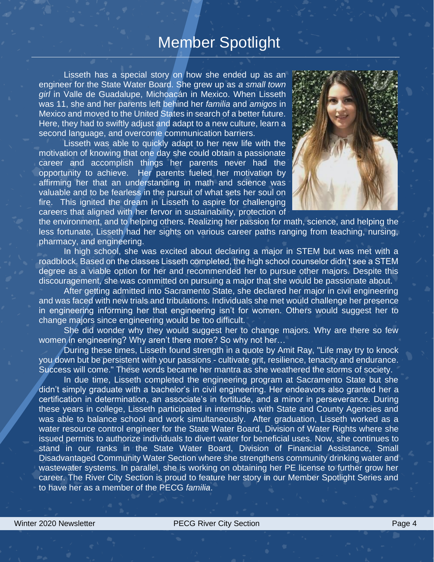### Member Spotlight

Lisseth has a special story on how she ended up as an engineer for the State Water Board. She grew up as *a small town girl* in Valle de Guadalupe, Michoacán in Mexico. When Lisseth was 11, she and her parents left behind her *familia* and *amigos* in Mexico and moved to the United States in search of a better future. Here, they had to swiftly adjust and adapt to a new culture, learn a second language, and overcome communication barriers.

Lisseth was able to quickly adapt to her new life with the motivation of knowing that one day she could obtain a passionate career and accomplish things her parents never had the opportunity to achieve. Her parents fueled her motivation by affirming her that an understanding in math and science was valuable and to be fearless in the pursuit of what sets her soul on fire. This ignited the dream in Lisseth to aspire for challenging careers that aligned with her fervor in sustainability, protection of



the environment, and to helping others. Realizing her passion for math, science, and helping the less fortunate, Lisseth had her sights on various career paths ranging from teaching, nursing, pharmacy, and engineering.

In high school, she was excited about declaring a major in STEM but was met with a roadblock. Based on the classes Lisseth completed, the high school counselor didn't see a STEM degree as a viable option for her and recommended her to pursue other majors. Despite this discouragement, she was committed on pursuing a major that she would be passionate about.

After getting admitted into Sacramento State, she declared her major in civil engineering and was faced with new trials and tribulations. Individuals she met would challenge her presence in engineering informing her that engineering isn't for women. Others would suggest her to change majors since engineering would be too difficult.

She did wonder why they would suggest her to change majors. Why are there so few women in engineering? Why aren't there more? So why not her…

During these times, Lisseth found strength in a quote by Amit Ray, "Life may try to knock you down but be persistent with your passions - cultivate grit, resilience, tenacity and endurance. Success will come." These words became her mantra as she weathered the storms of society.

In due time, Lisseth completed the engineering program at Sacramento State but she didn't simply graduate with a bachelor's in civil engineering. Her endeavors also granted her a certification in determination, an associate's in fortitude, and a minor in perseverance. During these years in college, Lisseth participated in internships with State and County Agencies and was able to balance school and work simultaneously. After graduation, Lisseth worked as a water resource control engineer for the State Water Board, Division of Water Rights where she issued permits to authorize individuals to divert water for beneficial uses. Now, she continues to stand in our ranks in the State Water Board, Division of Financial Assistance, Small Disadvantaged Community Water Section where she strengthens community drinking water and wastewater systems. In parallel, she is working on obtaining her PE license to further grow her career. The River City Section is proud to feature her story in our Member Spotlight Series and to have her as a member of the PECG *familia*.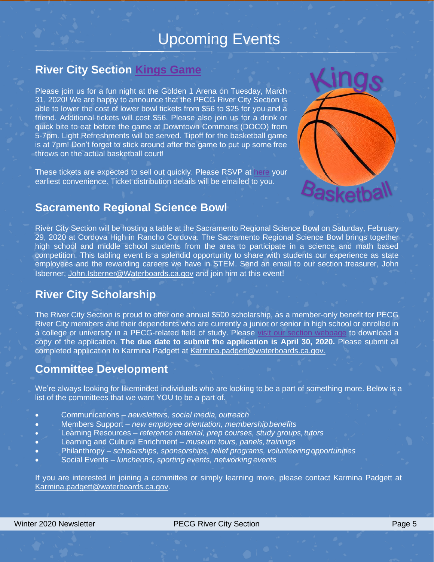## Upcoming Events

#### **River City Section [Kings Game](https://drive.google.com/file/d/1YIe1fsAmnqNTMbAetv-NU16Fs4cAXEuf/view?usp=sharing)**

Please join us for a fun night at the Golden 1 Arena on Tuesday, March 31, 2020! We are happy to announce that the PECG River City Section is able to lower the cost of lower bowl tickets from \$56 to \$25 for you and a friend. Additional tickets will cost \$56. Please also join us for a drink or quick bite to eat before the game at Downtown Commons (DOCO) from 5-7pm. Light Refreshments will be served. Tipoff for the basketball game is at 7pm! Don't forget to stick around after the game to put up some free throws on the actual basketball court!

These tickets are expected to sell out quickly. Please RSVP at [here](https://www.eventbrite.com/e/pecg-river-city-section-kings-vs-spurs-game-tickets-89902890967) your earliest convenience. Ticket distribution details will be emailed to you.



#### **Sacramento Regional Science Bowl**

River City Section will be hosting a table at the Sacramento Regional Science Bowl on Saturday, February 29, 2020 at Cordova High in Rancho Cordova. The Sacramento Regional Science Bowl brings together high school and middle school students from the area to participate in a science and math based competition. This tabling event is a splendid opportunity to share with students our experience as state employees and the rewarding careers we have in STEM. Send an email to our section treasurer, John Isberner, [John.Isberner@Waterboards.ca.gov](mailto:John.Isberner@Waterboards.ca.gov) and join him at this event!

#### **River City Scholarship**

The River City Section is proud to offer one annual \$500 scholarship, as a member-only benefit for PECG River City members and their dependents who are currently a junior or senior in high school or enrolled in a college or university in a PECG-related field of study. Please [visit our section webpage](http://pecg.org/sections/river-city-section/) to download a copy of the application. **The due date to submit the application is April 30, 2020.** Please submit all completed application to Karmina Padgett at [Karmina.padgett@waterboards.ca.gov.](mailto:Karmina.padgett@waterboards.ca.gov)

#### **Committee Development**

We're always looking for likeminded individuals who are looking to be a part of something more. Below is a list of the committees that we want YOU to be a part of.

- Communications *newsletters, social media, outreach*
- Members Support *new employee orientation, membership benefits*
- Learning Resources *reference material, prep courses, study groups, tutors*
- Learning and Cultural Enrichment *museum tours, panels, trainings*
- Philanthropy *scholarships, sponsorships, relief programs, volunteeringopportunities*
- Social Events *luncheons, sporting events, networking events*

If you are interested in joining a committee or simply learning more, please contact Karmina Padgett at [Karmina.padgett@waterboards.ca.gov.](mailto:Karmina.padgett@waterboards.ca.gov)